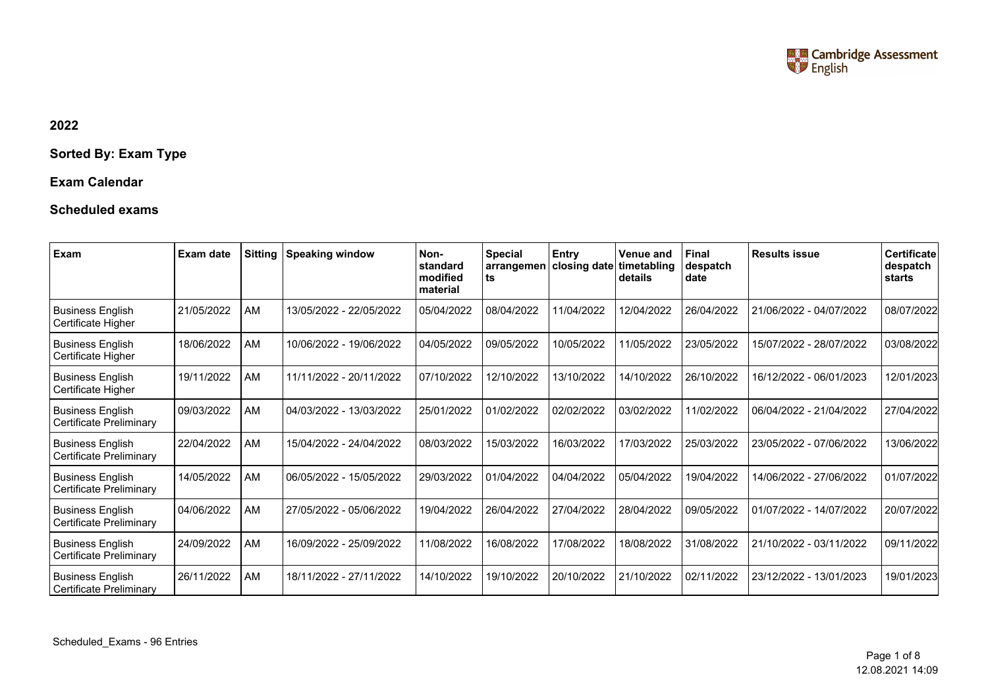

## **2022**

## **Sorted By: Exam Type**

## **Exam Calendar**

## **Scheduled exams**

| Exam                                                      | Exam date  | <b>Sitting</b> | <b>Speaking window</b>  | Non-<br>standard<br>modified<br>material | <b>Special</b><br>arrangemen<br>ts | Entry<br>closing date | Venue and<br>timetabling<br>details | <b>Final</b><br>despatch<br>date | <b>Results issue</b>    | Certificate<br>despatch<br>starts |
|-----------------------------------------------------------|------------|----------------|-------------------------|------------------------------------------|------------------------------------|-----------------------|-------------------------------------|----------------------------------|-------------------------|-----------------------------------|
| <b>Business English</b><br>Certificate Higher             | 21/05/2022 | AM             | 13/05/2022 - 22/05/2022 | 05/04/2022                               | 08/04/2022                         | 11/04/2022            | 12/04/2022                          | 26/04/2022                       | 21/06/2022 - 04/07/2022 | 08/07/2022                        |
| <b>Business English</b><br>Certificate Higher             | 18/06/2022 | AM             | 10/06/2022 - 19/06/2022 | 04/05/2022                               | 09/05/2022                         | 10/05/2022            | 11/05/2022                          | 23/05/2022                       | 15/07/2022 - 28/07/2022 | 03/08/2022                        |
| <b>Business English</b><br>Certificate Higher             | 19/11/2022 | AM             | 11/11/2022 - 20/11/2022 | 07/10/2022                               | 12/10/2022                         | 13/10/2022            | 14/10/2022                          | 26/10/2022                       | 16/12/2022 - 06/01/2023 | 12/01/2023                        |
| <b>Business English</b><br><b>Certificate Preliminary</b> | 09/03/2022 | AM             | 04/03/2022 - 13/03/2022 | 25/01/2022                               | 01/02/2022                         | 02/02/2022            | 03/02/2022                          | 11/02/2022                       | 06/04/2022 - 21/04/2022 | 27/04/2022                        |
| <b>Business English</b><br><b>Certificate Preliminary</b> | 22/04/2022 | AM             | 15/04/2022 - 24/04/2022 | 08/03/2022                               | 15/03/2022                         | 16/03/2022            | 17/03/2022                          | 25/03/2022                       | 23/05/2022 - 07/06/2022 | 13/06/2022                        |
| <b>Business English</b><br>Certificate Preliminary        | 14/05/2022 | AM             | 06/05/2022 - 15/05/2022 | 29/03/2022                               | 01/04/2022                         | 04/04/2022            | 05/04/2022                          | 19/04/2022                       | 14/06/2022 - 27/06/2022 | 01/07/2022                        |
| <b>Business English</b><br>Certificate Preliminary        | 04/06/2022 | AM             | 27/05/2022 - 05/06/2022 | 19/04/2022                               | 26/04/2022                         | 27/04/2022            | 28/04/2022                          | 09/05/2022                       | 01/07/2022 - 14/07/2022 | 20/07/2022                        |
| <b>Business English</b><br><b>Certificate Preliminary</b> | 24/09/2022 | AM             | 16/09/2022 - 25/09/2022 | 11/08/2022                               | 16/08/2022                         | 17/08/2022            | 18/08/2022                          | 31/08/2022                       | 21/10/2022 - 03/11/2022 | 09/11/2022                        |
| <b>Business English</b><br>Certificate Preliminary        | 26/11/2022 | AM             | 18/11/2022 - 27/11/2022 | 14/10/2022                               | 19/10/2022                         | 20/10/2022            | 21/10/2022                          | 02/11/2022                       | 23/12/2022 - 13/01/2023 | 19/01/2023                        |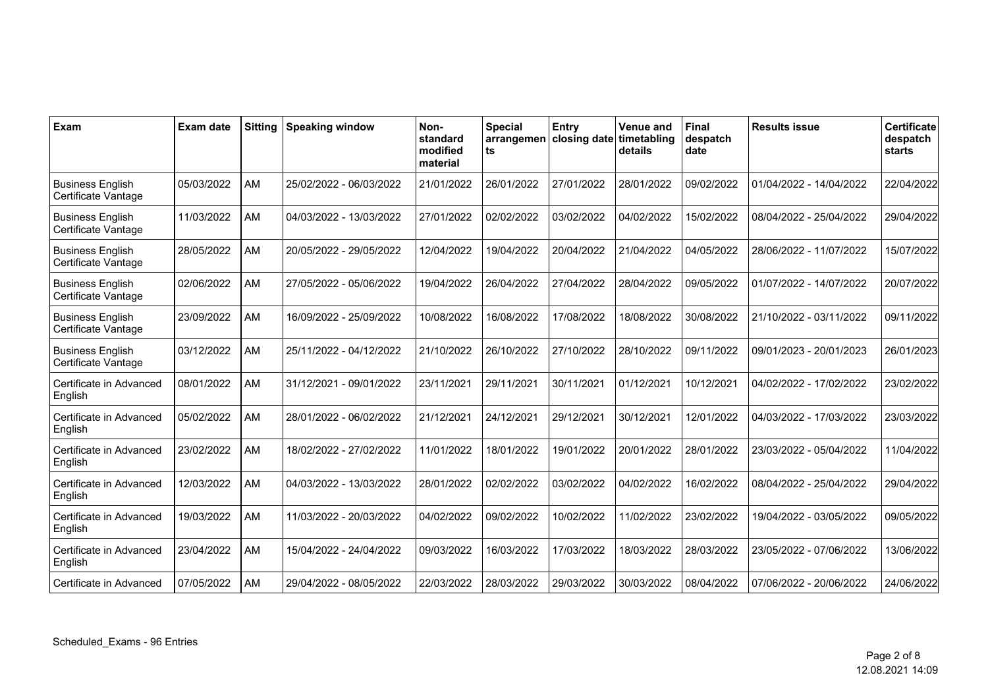| Exam                                           | <b>Exam date</b> | <b>Sitting</b> | <b>Speaking window</b>  | Non-<br>standard<br>modified<br>material | <b>Special</b><br>arrangemen<br>ts | <b>Entry</b><br>closing date | <b>Venue and</b><br>  timetabling<br>details | <b>Final</b><br>despatch<br>date | <b>Results issue</b>    | <b>Certificate</b><br>despatch<br><b>starts</b> |
|------------------------------------------------|------------------|----------------|-------------------------|------------------------------------------|------------------------------------|------------------------------|----------------------------------------------|----------------------------------|-------------------------|-------------------------------------------------|
| <b>Business English</b><br>Certificate Vantage | 05/03/2022       | AM             | 25/02/2022 - 06/03/2022 | 21/01/2022                               | 26/01/2022                         | 27/01/2022                   | 28/01/2022                                   | 09/02/2022                       | 01/04/2022 - 14/04/2022 | 22/04/2022                                      |
| <b>Business English</b><br>Certificate Vantage | 11/03/2022       | <b>AM</b>      | 04/03/2022 - 13/03/2022 | 27/01/2022                               | 02/02/2022                         | 03/02/2022                   | 04/02/2022                                   | 15/02/2022                       | 08/04/2022 - 25/04/2022 | 29/04/2022                                      |
| <b>Business English</b><br>Certificate Vantage | 28/05/2022       | <b>AM</b>      | 20/05/2022 - 29/05/2022 | 12/04/2022                               | 19/04/2022                         | 20/04/2022                   | 21/04/2022                                   | 04/05/2022                       | 28/06/2022 - 11/07/2022 | 15/07/2022                                      |
| <b>Business English</b><br>Certificate Vantage | 02/06/2022       | AM             | 27/05/2022 - 05/06/2022 | 19/04/2022                               | 26/04/2022                         | 27/04/2022                   | 28/04/2022                                   | 09/05/2022                       | 01/07/2022 - 14/07/2022 | 20/07/2022                                      |
| <b>Business English</b><br>Certificate Vantage | 23/09/2022       | AM             | 16/09/2022 - 25/09/2022 | 10/08/2022                               | 16/08/2022                         | 17/08/2022                   | 18/08/2022                                   | 30/08/2022                       | 21/10/2022 - 03/11/2022 | 09/11/2022                                      |
| <b>Business English</b><br>Certificate Vantage | 03/12/2022       | <b>AM</b>      | 25/11/2022 - 04/12/2022 | 21/10/2022                               | 26/10/2022                         | 27/10/2022                   | 28/10/2022                                   | 09/11/2022                       | 09/01/2023 - 20/01/2023 | 26/01/2023                                      |
| Certificate in Advanced<br>English             | 08/01/2022       | <b>AM</b>      | 31/12/2021 - 09/01/2022 | 23/11/2021                               | 29/11/2021                         | 30/11/2021                   | 01/12/2021                                   | 10/12/2021                       | 04/02/2022 - 17/02/2022 | 23/02/2022                                      |
| Certificate in Advanced<br>English             | 05/02/2022       | <b>AM</b>      | 28/01/2022 - 06/02/2022 | 21/12/2021                               | 24/12/2021                         | 29/12/2021                   | 30/12/2021                                   | 12/01/2022                       | 04/03/2022 - 17/03/2022 | 23/03/2022                                      |
| Certificate in Advanced<br>English             | 23/02/2022       | AM             | 18/02/2022 - 27/02/2022 | 11/01/2022                               | 18/01/2022                         | 19/01/2022                   | 20/01/2022                                   | 28/01/2022                       | 23/03/2022 - 05/04/2022 | 11/04/2022                                      |
| Certificate in Advanced<br>English             | 12/03/2022       | AM             | 04/03/2022 - 13/03/2022 | 28/01/2022                               | 02/02/2022                         | 03/02/2022                   | 04/02/2022                                   | 16/02/2022                       | 08/04/2022 - 25/04/2022 | 29/04/2022                                      |
| Certificate in Advanced<br>English             | 19/03/2022       | <b>AM</b>      | 11/03/2022 - 20/03/2022 | 04/02/2022                               | 09/02/2022                         | 10/02/2022                   | 11/02/2022                                   | 23/02/2022                       | 19/04/2022 - 03/05/2022 | 09/05/2022                                      |
| Certificate in Advanced<br>English             | 23/04/2022       | <b>AM</b>      | 15/04/2022 - 24/04/2022 | 09/03/2022                               | 16/03/2022                         | 17/03/2022                   | 18/03/2022                                   | 28/03/2022                       | 23/05/2022 - 07/06/2022 | 13/06/2022                                      |
| Certificate in Advanced                        | 07/05/2022       | AM             | 29/04/2022 - 08/05/2022 | 22/03/2022                               | 28/03/2022                         | 29/03/2022                   | 30/03/2022                                   | 08/04/2022                       | 07/06/2022 - 20/06/2022 | 24/06/2022                                      |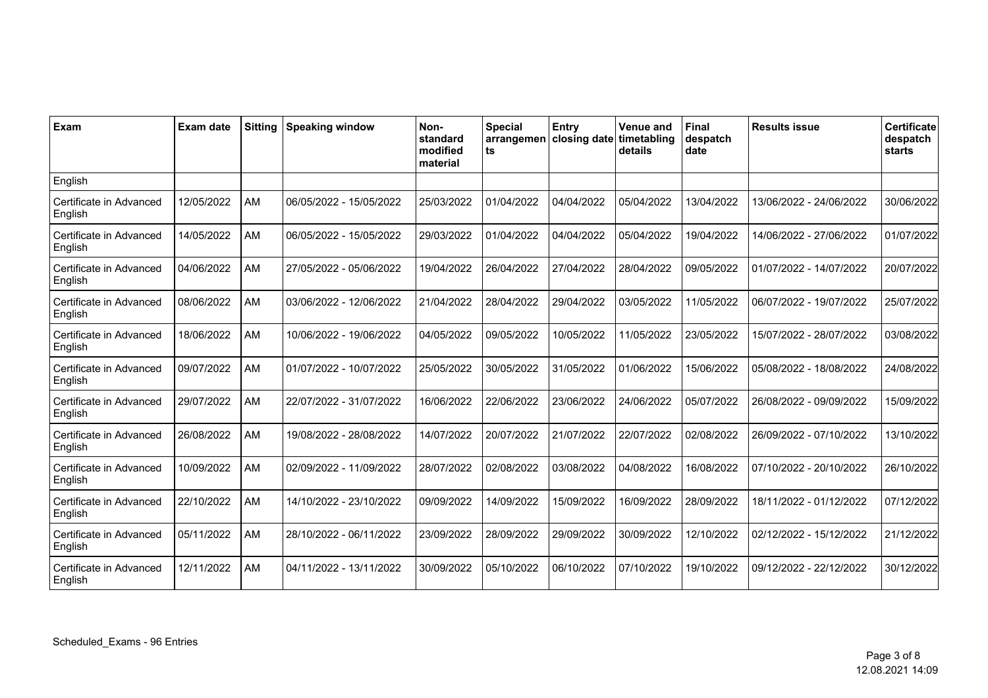| Exam                               | <b>Exam date</b> | <b>Sitting</b> | <b>Speaking window</b>  | Non-<br>standard<br>modified<br>material | <b>Special</b><br>arrangemen<br>ts | Entry<br>closing date | <b>Venue and</b><br>timetabling<br>details | Final<br>despatch<br>date | <b>Results issue</b>    | <b>Certificate</b><br>despatch<br>starts |
|------------------------------------|------------------|----------------|-------------------------|------------------------------------------|------------------------------------|-----------------------|--------------------------------------------|---------------------------|-------------------------|------------------------------------------|
| English                            |                  |                |                         |                                          |                                    |                       |                                            |                           |                         |                                          |
| Certificate in Advanced<br>English | 12/05/2022       | AM             | 06/05/2022 - 15/05/2022 | 25/03/2022                               | 01/04/2022                         | 04/04/2022            | 05/04/2022                                 | 13/04/2022                | 13/06/2022 - 24/06/2022 | 30/06/2022                               |
| Certificate in Advanced<br>English | 14/05/2022       | AM             | 06/05/2022 - 15/05/2022 | 29/03/2022                               | 01/04/2022                         | 04/04/2022            | 05/04/2022                                 | 19/04/2022                | 14/06/2022 - 27/06/2022 | 01/07/2022                               |
| Certificate in Advanced<br>English | 04/06/2022       | AM             | 27/05/2022 - 05/06/2022 | 19/04/2022                               | 26/04/2022                         | 27/04/2022            | 28/04/2022                                 | 09/05/2022                | 01/07/2022 - 14/07/2022 | 20/07/2022                               |
| Certificate in Advanced<br>English | 08/06/2022       | AM             | 03/06/2022 - 12/06/2022 | 21/04/2022                               | 28/04/2022                         | 29/04/2022            | 03/05/2022                                 | 11/05/2022                | 06/07/2022 - 19/07/2022 | 25/07/2022                               |
| Certificate in Advanced<br>English | 18/06/2022       | AM             | 10/06/2022 - 19/06/2022 | 04/05/2022                               | 09/05/2022                         | 10/05/2022            | 11/05/2022                                 | 23/05/2022                | 15/07/2022 - 28/07/2022 | 03/08/2022                               |
| Certificate in Advanced<br>English | 09/07/2022       | AM             | 01/07/2022 - 10/07/2022 | 25/05/2022                               | 30/05/2022                         | 31/05/2022            | 01/06/2022                                 | 15/06/2022                | 05/08/2022 - 18/08/2022 | 24/08/2022                               |
| Certificate in Advanced<br>English | 29/07/2022       | AM             | 22/07/2022 - 31/07/2022 | 16/06/2022                               | 22/06/2022                         | 23/06/2022            | 24/06/2022                                 | 05/07/2022                | 26/08/2022 - 09/09/2022 | 15/09/2022                               |
| Certificate in Advanced<br>English | 26/08/2022       | AM             | 19/08/2022 - 28/08/2022 | 14/07/2022                               | 20/07/2022                         | 21/07/2022            | 22/07/2022                                 | 02/08/2022                | 26/09/2022 - 07/10/2022 | 13/10/2022                               |
| Certificate in Advanced<br>English | 10/09/2022       | AM             | 02/09/2022 - 11/09/2022 | 28/07/2022                               | 02/08/2022                         | 03/08/2022            | 04/08/2022                                 | 16/08/2022                | 07/10/2022 - 20/10/2022 | 26/10/2022                               |
| Certificate in Advanced<br>English | 22/10/2022       | AM             | 14/10/2022 - 23/10/2022 | 09/09/2022                               | 14/09/2022                         | 15/09/2022            | 16/09/2022                                 | 28/09/2022                | 18/11/2022 - 01/12/2022 | 07/12/2022                               |
| Certificate in Advanced<br>English | 05/11/2022       | AM             | 28/10/2022 - 06/11/2022 | 23/09/2022                               | 28/09/2022                         | 29/09/2022            | 30/09/2022                                 | 12/10/2022                | 02/12/2022 - 15/12/2022 | 21/12/2022                               |
| Certificate in Advanced<br>English | 12/11/2022       | AM             | 04/11/2022 - 13/11/2022 | 30/09/2022                               | 05/10/2022                         | 06/10/2022            | 07/10/2022                                 | 19/10/2022                | 09/12/2022 - 22/12/2022 | 30/12/2022                               |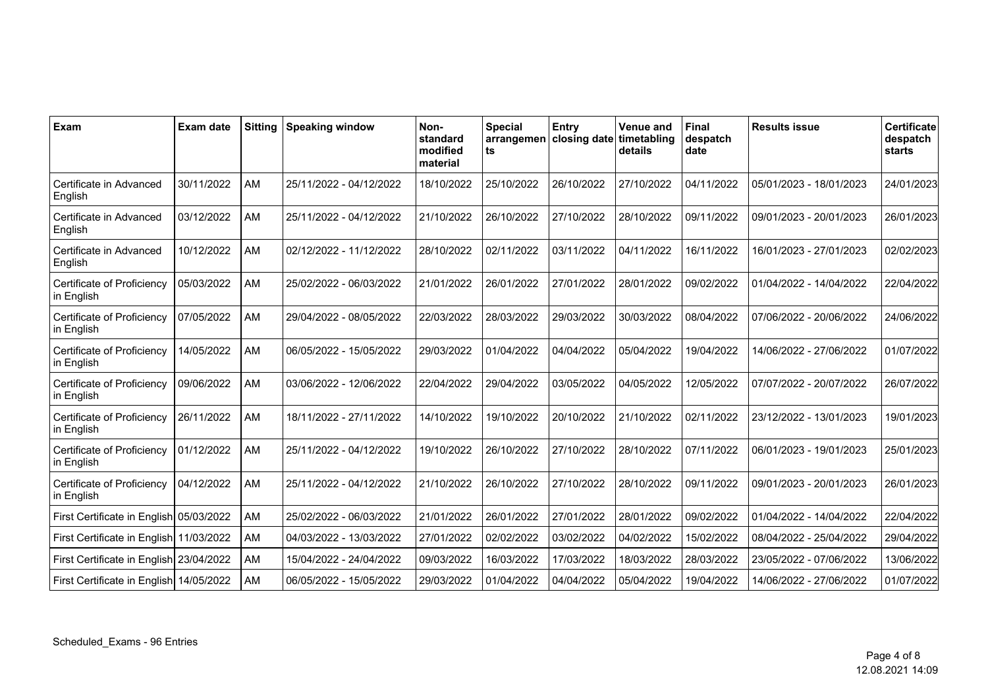| Exam                                     | <b>Exam date</b> | <b>Sitting</b> | <b>Speaking window</b>  | Non-<br>standard<br>modified<br>material | <b>Special</b><br>arrangemen<br>ts | Entry<br>closing date | <b>Venue and</b><br>timetabling<br>details | <b>Final</b><br>despatch<br>date | <b>Results issue</b>    | <b>Certificate</b><br>despatch<br><b>starts</b> |
|------------------------------------------|------------------|----------------|-------------------------|------------------------------------------|------------------------------------|-----------------------|--------------------------------------------|----------------------------------|-------------------------|-------------------------------------------------|
| Certificate in Advanced<br>English       | 30/11/2022       | <b>AM</b>      | 25/11/2022 - 04/12/2022 | 18/10/2022                               | 25/10/2022                         | 26/10/2022            | 27/10/2022                                 | 04/11/2022                       | 05/01/2023 - 18/01/2023 | 24/01/2023                                      |
| Certificate in Advanced<br>English       | 03/12/2022       | AM             | 25/11/2022 - 04/12/2022 | 21/10/2022                               | 26/10/2022                         | 27/10/2022            | 28/10/2022                                 | 09/11/2022                       | 09/01/2023 - 20/01/2023 | 26/01/2023                                      |
| Certificate in Advanced<br>English       | 10/12/2022       | AM             | 02/12/2022 - 11/12/2022 | 28/10/2022                               | 02/11/2022                         | 03/11/2022            | 04/11/2022                                 | 16/11/2022                       | 16/01/2023 - 27/01/2023 | 02/02/2023                                      |
| Certificate of Proficiency<br>in English | 05/03/2022       | AM             | 25/02/2022 - 06/03/2022 | 21/01/2022                               | 26/01/2022                         | 27/01/2022            | 28/01/2022                                 | 09/02/2022                       | 01/04/2022 - 14/04/2022 | 22/04/2022                                      |
| Certificate of Proficiency<br>in English | 07/05/2022       | AM             | 29/04/2022 - 08/05/2022 | 22/03/2022                               | 28/03/2022                         | 29/03/2022            | 30/03/2022                                 | 08/04/2022                       | 07/06/2022 - 20/06/2022 | 24/06/2022                                      |
| Certificate of Proficiency<br>in English | 14/05/2022       | AM             | 06/05/2022 - 15/05/2022 | 29/03/2022                               | 01/04/2022                         | 04/04/2022            | 05/04/2022                                 | 19/04/2022                       | 14/06/2022 - 27/06/2022 | 01/07/2022                                      |
| Certificate of Proficiency<br>in English | 09/06/2022       | AM             | 03/06/2022 - 12/06/2022 | 22/04/2022                               | 29/04/2022                         | 03/05/2022            | 04/05/2022                                 | 12/05/2022                       | 07/07/2022 - 20/07/2022 | 26/07/2022                                      |
| Certificate of Proficiency<br>in English | 26/11/2022       | AM             | 18/11/2022 - 27/11/2022 | 14/10/2022                               | 19/10/2022                         | 20/10/2022            | 21/10/2022                                 | 02/11/2022                       | 23/12/2022 - 13/01/2023 | 19/01/2023                                      |
| Certificate of Proficiency<br>in English | 01/12/2022       | AM             | 25/11/2022 - 04/12/2022 | 19/10/2022                               | 26/10/2022                         | 27/10/2022            | 28/10/2022                                 | 07/11/2022                       | 06/01/2023 - 19/01/2023 | 25/01/2023                                      |
| Certificate of Proficiency<br>in English | 04/12/2022       | AM             | 25/11/2022 - 04/12/2022 | 21/10/2022                               | 26/10/2022                         | 27/10/2022            | 28/10/2022                                 | 09/11/2022                       | 09/01/2023 - 20/01/2023 | 26/01/2023                                      |
| First Certificate in English 05/03/2022  |                  | AM             | 25/02/2022 - 06/03/2022 | 21/01/2022                               | 26/01/2022                         | 27/01/2022            | 28/01/2022                                 | 09/02/2022                       | 01/04/2022 - 14/04/2022 | 22/04/2022                                      |
| First Certificate in English 11/03/2022  |                  | AM             | 04/03/2022 - 13/03/2022 | 27/01/2022                               | 02/02/2022                         | 03/02/2022            | 04/02/2022                                 | 15/02/2022                       | 08/04/2022 - 25/04/2022 | 29/04/2022                                      |
| First Certificate in English 23/04/2022  |                  | AM             | 15/04/2022 - 24/04/2022 | 09/03/2022                               | 16/03/2022                         | 17/03/2022            | 18/03/2022                                 | 28/03/2022                       | 23/05/2022 - 07/06/2022 | 13/06/2022                                      |
| First Certificate in English 14/05/2022  |                  | AM             | 06/05/2022 - 15/05/2022 | 29/03/2022                               | 01/04/2022                         | 04/04/2022            | 05/04/2022                                 | 19/04/2022                       | 14/06/2022 - 27/06/2022 | 01/07/2022                                      |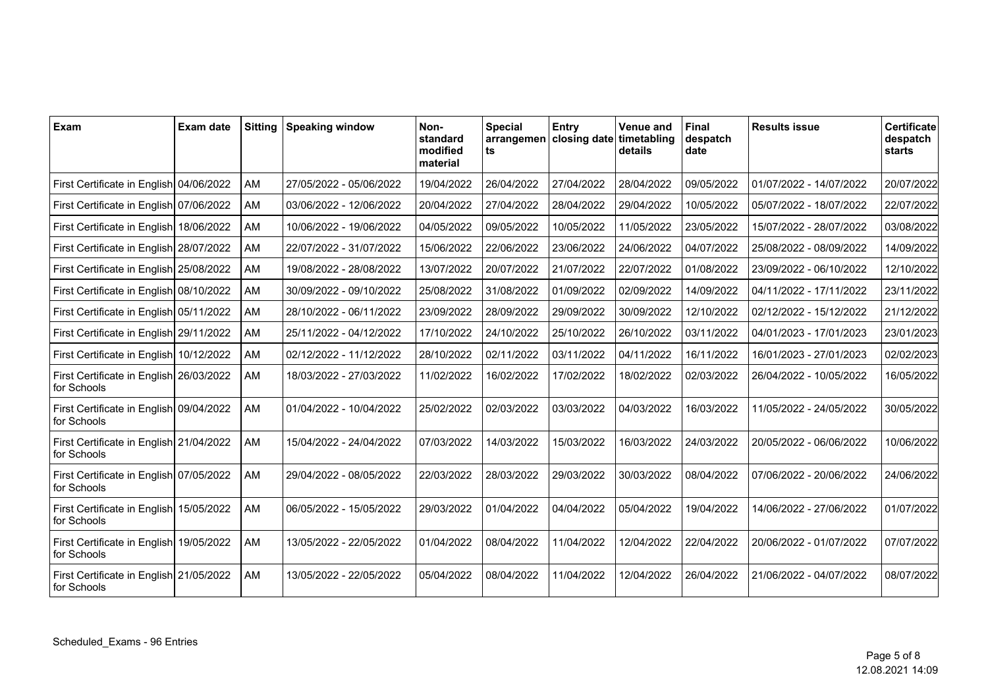| Exam                                                   | Exam date | <b>Sitting</b> | <b>Speaking window</b>  | Non-<br>standard<br>modified<br>material | <b>Special</b><br>ts | Entry<br>arrangemen   closing date   timetabling | <b>Venue and</b><br>details | Final<br>despatch<br>date | <b>Results issue</b>    | Certificate<br>despatch<br>starts |
|--------------------------------------------------------|-----------|----------------|-------------------------|------------------------------------------|----------------------|--------------------------------------------------|-----------------------------|---------------------------|-------------------------|-----------------------------------|
| First Certificate in English 04/06/2022                |           | AM             | 27/05/2022 - 05/06/2022 | 19/04/2022                               | 26/04/2022           | 27/04/2022                                       | 28/04/2022                  | 09/05/2022                | 01/07/2022 - 14/07/2022 | 20/07/2022                        |
| First Certificate in English 07/06/2022                |           | AM             | 03/06/2022 - 12/06/2022 | 20/04/2022                               | 27/04/2022           | 28/04/2022                                       | 29/04/2022                  | 10/05/2022                | 05/07/2022 - 18/07/2022 | 22/07/2022                        |
| First Certificate in English 18/06/2022                |           | AM             | 10/06/2022 - 19/06/2022 | 04/05/2022                               | 09/05/2022           | 10/05/2022                                       | 11/05/2022                  | 23/05/2022                | 15/07/2022 - 28/07/2022 | 03/08/2022                        |
| First Certificate in English 28/07/2022                |           | AM             | 22/07/2022 - 31/07/2022 | 15/06/2022                               | 22/06/2022           | 23/06/2022                                       | 24/06/2022                  | 04/07/2022                | 25/08/2022 - 08/09/2022 | 14/09/2022                        |
| First Certificate in English 25/08/2022                |           | AM             | 19/08/2022 - 28/08/2022 | 13/07/2022                               | 20/07/2022           | 21/07/2022                                       | 22/07/2022                  | 01/08/2022                | 23/09/2022 - 06/10/2022 | 12/10/2022                        |
| First Certificate in English 08/10/2022                |           | AM             | 30/09/2022 - 09/10/2022 | 25/08/2022                               | 31/08/2022           | 01/09/2022                                       | 02/09/2022                  | 14/09/2022                | 04/11/2022 - 17/11/2022 | 23/11/2022                        |
| First Certificate in English 05/11/2022                |           | AM             | 28/10/2022 - 06/11/2022 | 23/09/2022                               | 28/09/2022           | 29/09/2022                                       | 30/09/2022                  | 12/10/2022                | 02/12/2022 - 15/12/2022 | 21/12/2022                        |
| First Certificate in English 29/11/2022                |           | AM             | 25/11/2022 - 04/12/2022 | 17/10/2022                               | 24/10/2022           | 25/10/2022                                       | 26/10/2022                  | 03/11/2022                | 04/01/2023 - 17/01/2023 | 23/01/2023                        |
| First Certificate in English 10/12/2022                |           | AM             | 02/12/2022 - 11/12/2022 | 28/10/2022                               | 02/11/2022           | 03/11/2022                                       | 04/11/2022                  | 16/11/2022                | 16/01/2023 - 27/01/2023 | 02/02/2023                        |
| First Certificate in English 26/03/2022<br>for Schools |           | AM             | 18/03/2022 - 27/03/2022 | 11/02/2022                               | 16/02/2022           | 17/02/2022                                       | 18/02/2022                  | 02/03/2022                | 26/04/2022 - 10/05/2022 | 16/05/2022                        |
| First Certificate in English 09/04/2022<br>for Schools |           | AM             | 01/04/2022 - 10/04/2022 | 25/02/2022                               | 02/03/2022           | 03/03/2022                                       | 04/03/2022                  | 16/03/2022                | 11/05/2022 - 24/05/2022 | 30/05/2022                        |
| First Certificate in English 21/04/2022<br>for Schools |           | AM             | 15/04/2022 - 24/04/2022 | 07/03/2022                               | 14/03/2022           | 15/03/2022                                       | 16/03/2022                  | 24/03/2022                | 20/05/2022 - 06/06/2022 | 10/06/2022                        |
| First Certificate in English 07/05/2022<br>for Schools |           | AM             | 29/04/2022 - 08/05/2022 | 22/03/2022                               | 28/03/2022           | 29/03/2022                                       | 30/03/2022                  | 08/04/2022                | 07/06/2022 - 20/06/2022 | 24/06/2022                        |
| First Certificate in English 15/05/2022<br>for Schools |           | AM             | 06/05/2022 - 15/05/2022 | 29/03/2022                               | 01/04/2022           | 04/04/2022                                       | 05/04/2022                  | 19/04/2022                | 14/06/2022 - 27/06/2022 | 01/07/2022                        |
| First Certificate in English 19/05/2022<br>for Schools |           | AM             | 13/05/2022 - 22/05/2022 | 01/04/2022                               | 08/04/2022           | 11/04/2022                                       | 12/04/2022                  | 22/04/2022                | 20/06/2022 - 01/07/2022 | 07/07/2022                        |
| First Certificate in English 21/05/2022<br>for Schools |           | AM             | 13/05/2022 - 22/05/2022 | 05/04/2022                               | 08/04/2022           | 11/04/2022                                       | 12/04/2022                  | 26/04/2022                | 21/06/2022 - 04/07/2022 | 08/07/2022                        |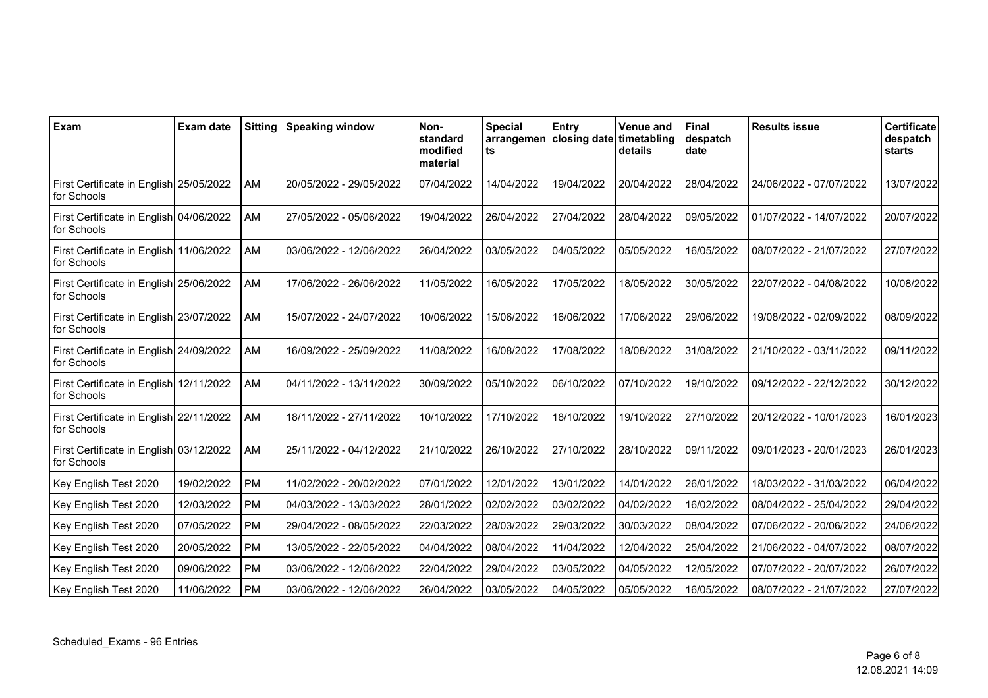| Exam                                                   | <b>Exam date</b> | <b>Sitting</b> | <b>Speaking window</b>  | Non-<br>standard<br>modified<br>material | <b>Special</b><br>ts | Entry<br>arrangemen   closing date | <b>Venue and</b><br>timetabling<br>details | <b>Final</b><br>despatch<br>date | <b>Results issue</b>    | <b>Certificate</b><br>despatch<br>starts |
|--------------------------------------------------------|------------------|----------------|-------------------------|------------------------------------------|----------------------|------------------------------------|--------------------------------------------|----------------------------------|-------------------------|------------------------------------------|
| First Certificate in English 25/05/2022<br>for Schools |                  | <b>AM</b>      | 20/05/2022 - 29/05/2022 | 07/04/2022                               | 14/04/2022           | 19/04/2022                         | 20/04/2022                                 | 28/04/2022                       | 24/06/2022 - 07/07/2022 | 13/07/2022                               |
| First Certificate in English 04/06/2022<br>for Schools |                  | <b>AM</b>      | 27/05/2022 - 05/06/2022 | 19/04/2022                               | 26/04/2022           | 27/04/2022                         | 28/04/2022                                 | 09/05/2022                       | 01/07/2022 - 14/07/2022 | 20/07/2022                               |
| First Certificate in English 11/06/2022<br>for Schools |                  | AM             | 03/06/2022 - 12/06/2022 | 26/04/2022                               | 03/05/2022           | 04/05/2022                         | 05/05/2022                                 | 16/05/2022                       | 08/07/2022 - 21/07/2022 | 27/07/2022                               |
| First Certificate in English 25/06/2022<br>for Schools |                  | AM             | 17/06/2022 - 26/06/2022 | 11/05/2022                               | 16/05/2022           | 17/05/2022                         | 18/05/2022                                 | 30/05/2022                       | 22/07/2022 - 04/08/2022 | 10/08/2022                               |
| First Certificate in English 23/07/2022<br>for Schools |                  | AM             | 15/07/2022 - 24/07/2022 | 10/06/2022                               | 15/06/2022           | 16/06/2022                         | 17/06/2022                                 | 29/06/2022                       | 19/08/2022 - 02/09/2022 | 08/09/2022                               |
| First Certificate in English 24/09/2022<br>for Schools |                  | AM             | 16/09/2022 - 25/09/2022 | 11/08/2022                               | 16/08/2022           | 17/08/2022                         | 18/08/2022                                 | 31/08/2022                       | 21/10/2022 - 03/11/2022 | 09/11/2022                               |
| First Certificate in English 12/11/2022<br>for Schools |                  | AM             | 04/11/2022 - 13/11/2022 | 30/09/2022                               | 05/10/2022           | 06/10/2022                         | 07/10/2022                                 | 19/10/2022                       | 09/12/2022 - 22/12/2022 | 30/12/2022                               |
| First Certificate in English 22/11/2022<br>for Schools |                  | AM             | 18/11/2022 - 27/11/2022 | 10/10/2022                               | 17/10/2022           | 18/10/2022                         | 19/10/2022                                 | 27/10/2022                       | 20/12/2022 - 10/01/2023 | 16/01/2023                               |
| First Certificate in English 03/12/2022<br>for Schools |                  | AM             | 25/11/2022 - 04/12/2022 | 21/10/2022                               | 26/10/2022           | 27/10/2022                         | 28/10/2022                                 | 09/11/2022                       | 09/01/2023 - 20/01/2023 | 26/01/2023                               |
| Key English Test 2020                                  | 19/02/2022       | <b>PM</b>      | 11/02/2022 - 20/02/2022 | 07/01/2022                               | 12/01/2022           | 13/01/2022                         | 14/01/2022                                 | 26/01/2022                       | 18/03/2022 - 31/03/2022 | 06/04/2022                               |
| Key English Test 2020                                  | 12/03/2022       | <b>PM</b>      | 04/03/2022 - 13/03/2022 | 28/01/2022                               | 02/02/2022           | 03/02/2022                         | 04/02/2022                                 | 16/02/2022                       | 08/04/2022 - 25/04/2022 | 29/04/2022                               |
| Key English Test 2020                                  | 07/05/2022       | PM             | 29/04/2022 - 08/05/2022 | 22/03/2022                               | 28/03/2022           | 29/03/2022                         | 30/03/2022                                 | 08/04/2022                       | 07/06/2022 - 20/06/2022 | 24/06/2022                               |
| Key English Test 2020                                  | 20/05/2022       | <b>PM</b>      | 13/05/2022 - 22/05/2022 | 04/04/2022                               | 08/04/2022           | 11/04/2022                         | 12/04/2022                                 | 25/04/2022                       | 21/06/2022 - 04/07/2022 | 08/07/2022                               |
| Key English Test 2020                                  | 09/06/2022       | <b>PM</b>      | 03/06/2022 - 12/06/2022 | 22/04/2022                               | 29/04/2022           | 03/05/2022                         | 04/05/2022                                 | 12/05/2022                       | 07/07/2022 - 20/07/2022 | 26/07/2022                               |
| Key English Test 2020                                  | 11/06/2022       | <b>PM</b>      | 03/06/2022 - 12/06/2022 | 26/04/2022                               | 03/05/2022           | 04/05/2022                         | 05/05/2022                                 | 16/05/2022                       | 08/07/2022 - 21/07/2022 | 27/07/2022                               |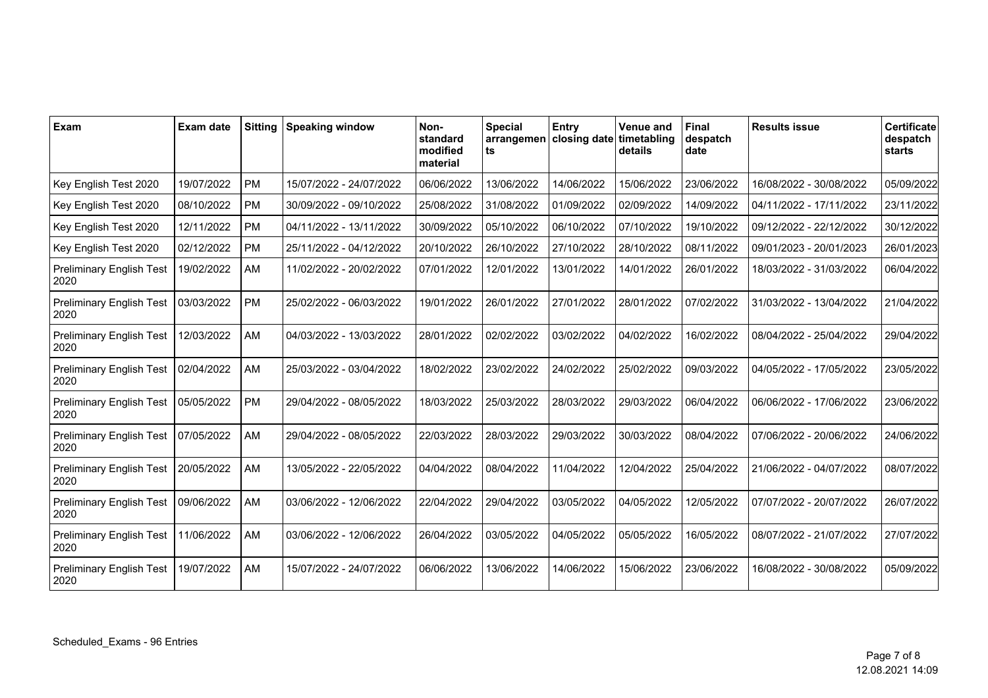| Exam                                    | Exam date  | <b>Sitting</b> | <b>Speaking window</b>  | Non-<br>standard<br>modified<br>material | <b>Special</b><br>ts | Entry<br>arrangemen   closing date   timetabling | <b>Venue and</b><br>details | <b>Final</b><br>despatch<br>date | <b>Results issue</b>    | Certificate<br>despatch<br>starts |
|-----------------------------------------|------------|----------------|-------------------------|------------------------------------------|----------------------|--------------------------------------------------|-----------------------------|----------------------------------|-------------------------|-----------------------------------|
| Key English Test 2020                   | 19/07/2022 | <b>PM</b>      | 15/07/2022 - 24/07/2022 | 06/06/2022                               | 13/06/2022           | 14/06/2022                                       | 15/06/2022                  | 23/06/2022                       | 16/08/2022 - 30/08/2022 | 05/09/2022                        |
| Key English Test 2020                   | 08/10/2022 | PM             | 30/09/2022 - 09/10/2022 | 25/08/2022                               | 31/08/2022           | 01/09/2022                                       | 02/09/2022                  | 14/09/2022                       | 04/11/2022 - 17/11/2022 | 23/11/2022                        |
| Key English Test 2020                   | 12/11/2022 | PM             | 04/11/2022 - 13/11/2022 | 30/09/2022                               | 05/10/2022           | 06/10/2022                                       | 07/10/2022                  | 19/10/2022                       | 09/12/2022 - 22/12/2022 | 30/12/2022                        |
| Key English Test 2020                   | 02/12/2022 | <b>PM</b>      | 25/11/2022 - 04/12/2022 | 20/10/2022                               | 26/10/2022           | 27/10/2022                                       | 28/10/2022                  | 08/11/2022                       | 09/01/2023 - 20/01/2023 | 26/01/2023                        |
| <b>Preliminary English Test</b><br>2020 | 19/02/2022 | AM             | 11/02/2022 - 20/02/2022 | 07/01/2022                               | 12/01/2022           | 13/01/2022                                       | 14/01/2022                  | 26/01/2022                       | 18/03/2022 - 31/03/2022 | 06/04/2022                        |
| <b>Preliminary English Test</b><br>2020 | 03/03/2022 | PM             | 25/02/2022 - 06/03/2022 | 19/01/2022                               | 26/01/2022           | 27/01/2022                                       | 28/01/2022                  | 07/02/2022                       | 31/03/2022 - 13/04/2022 | 21/04/2022                        |
| <b>Preliminary English Test</b><br>2020 | 12/03/2022 | AM             | 04/03/2022 - 13/03/2022 | 28/01/2022                               | 02/02/2022           | 03/02/2022                                       | 04/02/2022                  | 16/02/2022                       | 08/04/2022 - 25/04/2022 | 29/04/2022                        |
| <b>Preliminary English Test</b><br>2020 | 02/04/2022 | AM             | 25/03/2022 - 03/04/2022 | 18/02/2022                               | 23/02/2022           | 24/02/2022                                       | 25/02/2022                  | 09/03/2022                       | 04/05/2022 - 17/05/2022 | 23/05/2022                        |
| <b>Preliminary English Test</b><br>2020 | 05/05/2022 | <b>PM</b>      | 29/04/2022 - 08/05/2022 | 18/03/2022                               | 25/03/2022           | 28/03/2022                                       | 29/03/2022                  | 06/04/2022                       | 06/06/2022 - 17/06/2022 | 23/06/2022                        |
| <b>Preliminary English Test</b><br>2020 | 07/05/2022 | AM             | 29/04/2022 - 08/05/2022 | 22/03/2022                               | 28/03/2022           | 29/03/2022                                       | 30/03/2022                  | 08/04/2022                       | 07/06/2022 - 20/06/2022 | 24/06/2022                        |
| <b>Preliminary English Test</b><br>2020 | 20/05/2022 | AM             | 13/05/2022 - 22/05/2022 | 04/04/2022                               | 08/04/2022           | 11/04/2022                                       | 12/04/2022                  | 25/04/2022                       | 21/06/2022 - 04/07/2022 | 08/07/2022                        |
| <b>Preliminary English Test</b><br>2020 | 09/06/2022 | AM             | 03/06/2022 - 12/06/2022 | 22/04/2022                               | 29/04/2022           | 03/05/2022                                       | 04/05/2022                  | 12/05/2022                       | 07/07/2022 - 20/07/2022 | 26/07/2022                        |
| <b>Preliminary English Test</b><br>2020 | 11/06/2022 | AM             | 03/06/2022 - 12/06/2022 | 26/04/2022                               | 03/05/2022           | 04/05/2022                                       | 05/05/2022                  | 16/05/2022                       | 08/07/2022 - 21/07/2022 | 27/07/2022                        |
| <b>Preliminary English Test</b><br>2020 | 19/07/2022 | AM             | 15/07/2022 - 24/07/2022 | 06/06/2022                               | 13/06/2022           | 14/06/2022                                       | 15/06/2022                  | 23/06/2022                       | 16/08/2022 - 30/08/2022 | 05/09/2022                        |